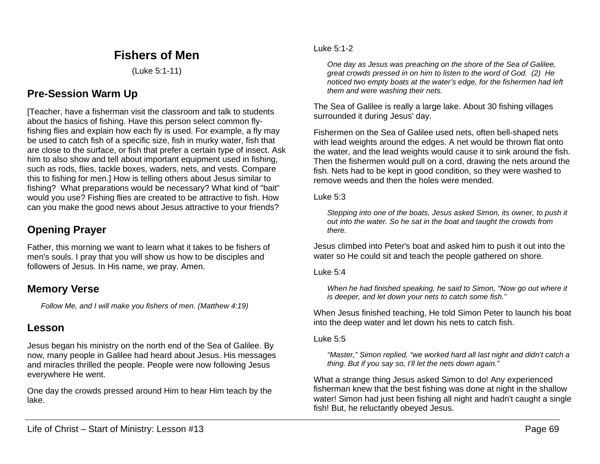# **Fishers of Men**

(Luke 5:1-11)

# **Pre-Session Warm Up**

[Teacher, have a fisherman visit the classroom and talk to students about the basics of fishing. Have this person select common flyfishing flies and explain how each fly is used. For example, a fly may be used to catch fish of a specific size, fish in murky water, fish that are close to the surface, or fish that prefer a certain type of insect. Ask him to also show and tell about important equipment used in fishing, such as rods, flies, tackle boxes, waders, nets, and vests. Compare this to fishing for men.] How is telling others about Jesus similar to fishing? What preparations would be necessary? What kind of "bait" would you use? Fishing flies are created to be attractive to fish. How can you make the good news about Jesus attractive to your friends?

# **Opening Prayer**

Father, this morning we want to learn what it takes to be fishers of men's souls. I pray that you will show us how to be disciples and followers of Jesus. In His name, we pray. Amen.

## **Memory Verse**

*Follow Me, and I will make you fishers of men. (Matthew 4:19)*

## **Lesson**

Jesus began his ministry on the north end of the Sea of Galilee. By now, many people in Galilee had heard about Jesus. His messages and miracles thrilled the people. People were now following Jesus everywhere He went.

One day the crowds pressed around Him to hear Him teach by the lake.

#### Luke 5:1-2

*One day as Jesus was preaching on the shore of the Sea of Galilee, great crowds pressed in on him to listen to the word of God. (2) He noticed two empty boats at the water's edge, for the fishermen had left them and were washing their nets.*

The Sea of Galilee is really a large lake. About 30 fishing villages surrounded it during Jesus' day.

Fishermen on the Sea of Galilee used nets, often bell-shaped nets with lead weights around the edges. A net would be thrown flat onto the water, and the lead weights would cause it to sink around the fish. Then the fishermen would pull on a cord, drawing the nets around the fish. Nets had to be kept in good condition, so they were washed to remove weeds and then the holes were mended.

Luke 5:3

*Stepping into one of the boats, Jesus asked Simon, its owner, to push it out into the water. So he sat in the boat and taught the crowds from there.*

Jesus climbed into Peter's boat and asked him to push it out into the water so He could sit and teach the people gathered on shore.

#### Luke  $5:4$

*When he had finished speaking, he said to Simon, "Now go out where it is deeper, and let down your nets to catch some fish."*

When Jesus finished teaching, He told Simon Peter to launch his boat into the deep water and let down his nets to catch fish.

#### Luke 5:5

*"Master," Simon replied, "we worked hard all last night and didn't catch a thing. But if you say so, I'll let the nets down again."*

What a strange thing Jesus asked Simon to do! Any experienced fisherman knew that the best fishing was done at night in the shallow water! Simon had just been fishing all night and hadn't caught a single fish! But, he reluctantly obeyed Jesus.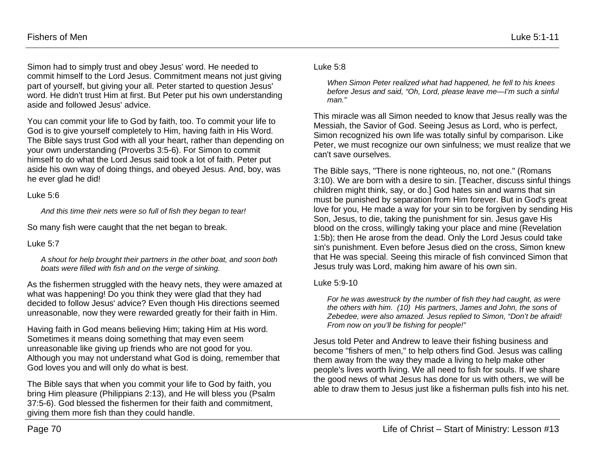Simon had to simply trust and obey Jesus' word. He needed to commit himself to the Lord Jesus. Commitment means not just giving part of yourself, but giving your all. Peter started to question Jesus' word. He didn't trust Him at first. But Peter put his own understanding aside and followed Jesus' advice.

You can commit your life to God by faith, too. To commit your life to God is to give yourself completely to Him, having faith in His Word. The Bible says trust God with all your heart, rather than depending on your own understanding (Proverbs 3:5-6). For Simon to commit himself to do what the Lord Jesus said took a lot of faith. Peter put aside his own way of doing things, and obeyed Jesus. And, boy, was he ever glad he did!

#### Luke 5:6

*And this time their nets were so full of fish they began to tear!*

So many fish were caught that the net began to break.

### Luke 5:7

*A shout for help brought their partners in the other boat, and soon both boats were filled with fish and on the verge of sinking.*

As the fishermen struggled with the heavy nets, they were amazed at what was happening! Do you think they were glad that they had decided to follow Jesus' advice? Even though His directions seemed unreasonable, now they were rewarded greatly for their faith in Him.

Having faith in God means believing Him; taking Him at His word. Sometimes it means doing something that may even seem unreasonable like giving up friends who are not good for you. Although you may not understand what God is doing, remember that God loves you and will only do what is best.

The Bible says that when you commit your life to God by faith, you bring Him pleasure (Philippians 2:13), and He will bless you (Psalm 37:5-6). God blessed the fishermen for their faith and commitment, giving them more fish than they could handle.

### Luke 5:8

*When Simon Peter realized what had happened, he fell to his knees before Jesus and said, "Oh, Lord, please leave me—I'm such a sinful man."*

This miracle was all Simon needed to know that Jesus really was the Messiah, the Savior of God. Seeing Jesus as Lord, who is perfect, Simon recognized his own life was totally sinful by comparison. Like Peter, we must recognize our own sinfulness; we must realize that we can't save ourselves.

The Bible says, "There is none righteous, no, not one." (Romans 3:10). We are born with a desire to sin. [Teacher, discuss sinful things children might think, say, or do.] God hates sin and warns that sin must be punished by separation from Him forever. But in God's great love for you, He made a way for your sin to be forgiven by sending His Son, Jesus, to die, taking the punishment for sin. Jesus gave His blood on the cross, willingly taking your place and mine (Revelation 1:5b); then He arose from the dead. Only the Lord Jesus could take sin's punishment. Even before Jesus died on the cross, Simon knew that He was special. Seeing this miracle of fish convinced Simon that Jesus truly was Lord, making him aware of his own sin.

## Luke 5:9-10

*For he was awestruck by the number of fish they had caught, as were the others with him. (10) His partners, James and John, the sons of Zebedee, were also amazed. Jesus replied to Simon, "Don't be afraid! From now on you'll be fishing for people!"*

Jesus told Peter and Andrew to leave their fishing business and become "fishers of men," to help others find God. Jesus was calling them away from the way they made a living to help make other people's lives worth living. We all need to fish for souls. If we share the good news of what Jesus has done for us with others, we will be able to draw them to Jesus just like a fisherman pulls fish into his net.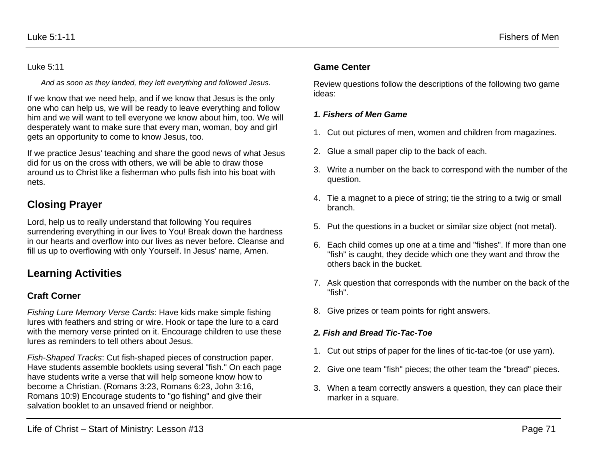*And as soon as they landed, they left everything and followed Jesus.*

If we know that we need help, and if we know that Jesus is the only one who can help us, we will be ready to leave everything and follow him and we will want to tell everyone we know about him, too. We will desperately want to make sure that every man, woman, boy and girl gets an opportunity to come to know Jesus, too.

If we practice Jesus' teaching and share the good news of what Jesus did for us on the cross with others, we will be able to draw those around us to Christ like a fisherman who pulls fish into his boat with nets.

# **Closing Prayer**

Lord, help us to really understand that following You requires surrendering everything in our lives to You! Break down the hardness in our hearts and overflow into our lives as never before. Cleanse and fill us up to overflowing with only Yourself. In Jesus' name, Amen.

# **Learning Activities**

## **Craft Corner**

*Fishing Lure Memory Verse Cards*: Have kids make simple fishing lures with feathers and string or wire. Hook or tape the lure to a card with the memory verse printed on it. Encourage children to use these lures as reminders to tell others about Jesus.

*Fish-Shaped Tracks*: Cut fish-shaped pieces of construction paper. Have students assemble booklets using several "fish." On each page have students write a verse that will help someone know how to become a Christian. (Romans 3:23, Romans 6:23, John 3:16, Romans 10:9) Encourage students to "go fishing" and give their salvation booklet to an unsaved friend or neighbor.

### Luke 5:1-11 Fishers of Men

### **Game Center**

Review questions follow the descriptions of the following two game ideas:

### *1. Fishers of Men Game*

- 1. Cut out pictures of men, women and children from magazines.
- 2. Glue a small paper clip to the back of each.
- 3. Write a number on the back to correspond with the number of the question.
- 4. Tie a magnet to a piece of string; tie the string to a twig or small branch.
- 5. Put the questions in a bucket or similar size object (not metal).
- 6. Each child comes up one at a time and "fishes". If more than one "fish" is caught, they decide which one they want and throw the others back in the bucket.
- 7. Ask question that corresponds with the number on the back of the "fish".
- 8. Give prizes or team points for right answers.

### *2. Fish and Bread Tic-Tac-Toe*

- 1. Cut out strips of paper for the lines of tic-tac-toe (or use yarn).
- 2. Give one team "fish" pieces; the other team the "bread" pieces.
- 3. When a team correctly answers a question, they can place their marker in a square.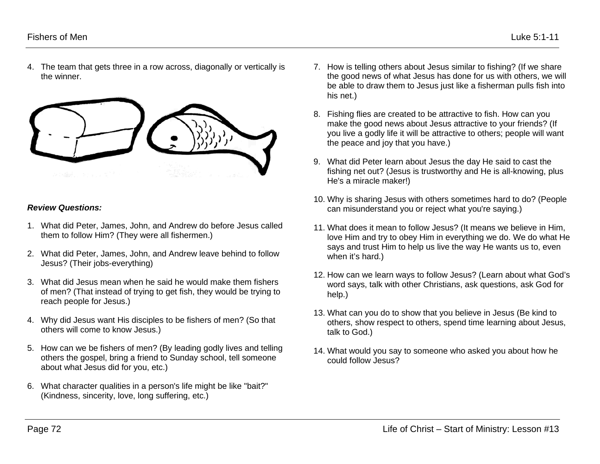4. The team that gets three in a row across, diagonally or vertically is the winner.



#### *Review Questions:*

- 1. What did Peter, James, John, and Andrew do before Jesus called them to follow Him? (They were all fishermen.)
- 2. What did Peter, James, John, and Andrew leave behind to follow Jesus? (Their jobs-everything)
- 3. What did Jesus mean when he said he would make them fishers of men? (That instead of trying to get fish, they would be trying to reach people for Jesus.)
- 4. Why did Jesus want His disciples to be fishers of men? (So that others will come to know Jesus.)
- 5. How can we be fishers of men? (By leading godly lives and telling others the gospel, bring a friend to Sunday school, tell someone about what Jesus did for you, etc.)
- 6. What character qualities in a person's life might be like "bait?" (Kindness, sincerity, love, long suffering, etc.)
- 7. How is telling others about Jesus similar to fishing? (If we share the good news of what Jesus has done for us with others, we will be able to draw them to Jesus just like a fisherman pulls fish into his net.)
- 8. Fishing flies are created to be attractive to fish. How can you make the good news about Jesus attractive to your friends? (If you live a godly life it will be attractive to others; people will want the peace and joy that you have.)
- 9. What did Peter learn about Jesus the day He said to cast the fishing net out? (Jesus is trustworthy and He is all-knowing, plus He's a miracle maker!)
- 10. Why is sharing Jesus with others sometimes hard to do? (People can misunderstand you or reject what you're saying.)
- 11. What does it mean to follow Jesus? (It means we believe in Him, love Him and try to obey Him in everything we do. We do what He says and trust Him to help us live the way He wants us to, even when it's hard.)
- 12. How can we learn ways to follow Jesus? (Learn about what God's word says, talk with other Christians, ask questions, ask God for help.)
- 13. What can you do to show that you believe in Jesus (Be kind to others, show respect to others, spend time learning about Jesus, talk to God.)
- 14. What would you say to someone who asked you about how he could follow Jesus?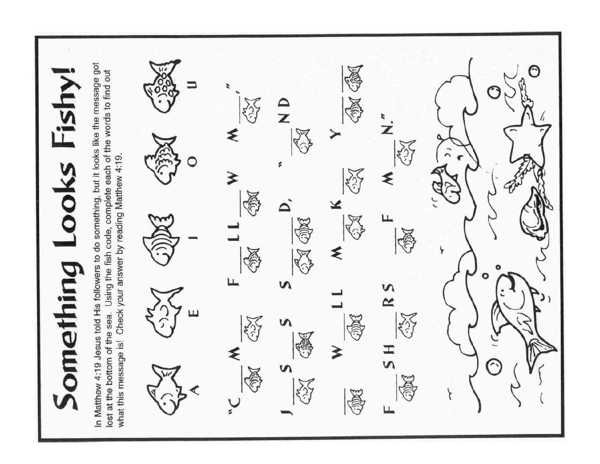In Matthew 4:19 Jesus told His followers to do something, but it looks like the message got ∩ lost at the bottom of the sea. Using the fish code, complete each of the words to find out omething Looks Fishy  $\frac{\mathsf{D}}{\mathsf{Z}}$  $\overrightarrow{z}$ ≷ what this message is! Check your answer by reading Matthew 4:19. s 4 ଽ O ப n n  $\sim$ Ш v エ<br>い ≰  $\mathbf{r}$ Щ